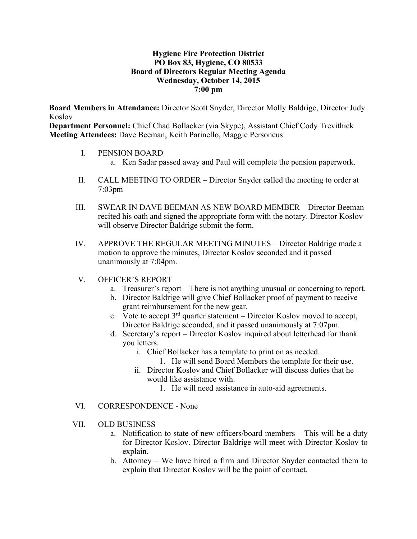#### **Hygiene Fire Protection District PO Box 83, Hygiene, CO 80533 Board of Directors Regular Meeting Agenda Wednesday, October 14, 2015 7:00 pm**

**Board Members in Attendance:** Director Scott Snyder, Director Molly Baldrige, Director Judy Koslov

**Department Personnel:** Chief Chad Bollacker (via Skype), Assistant Chief Cody Trevithick **Meeting Attendees:** Dave Beeman, Keith Parinello, Maggie Personeus

- I. PENSION BOARD
	- a. Ken Sadar passed away and Paul will complete the pension paperwork.
- II. CALL MEETING TO ORDER Director Snyder called the meeting to order at 7:03pm
- III. SWEAR IN DAVE BEEMAN AS NEW BOARD MEMBER Director Beeman recited his oath and signed the appropriate form with the notary. Director Koslov will observe Director Baldrige submit the form.
- IV. APPROVE THE REGULAR MEETING MINUTES Director Baldrige made a motion to approve the minutes, Director Koslov seconded and it passed unanimously at 7:04pm.
- V. OFFICER'S REPORT
	- a. Treasurer's report There is not anything unusual or concerning to report.
	- b. Director Baldrige will give Chief Bollacker proof of payment to receive grant reimbursement for the new gear.
	- c. Vote to accept  $3^{rd}$  quarter statement Director Koslov moved to accept, Director Baldrige seconded, and it passed unanimously at 7:07pm.
	- d. Secretary's report Director Koslov inquired about letterhead for thank you letters.
		- i. Chief Bollacker has a template to print on as needed.
			- 1. He will send Board Members the template for their use.
		- ii. Director Koslov and Chief Bollacker will discuss duties that he would like assistance with.
			- 1. He will need assistance in auto-aid agreements.
- VI. CORRESPONDENCE None
- VII. OLD BUSINESS
	- a. Notification to state of new officers/board members This will be a duty for Director Koslov. Director Baldrige will meet with Director Koslov to explain.
	- b. Attorney We have hired a firm and Director Snyder contacted them to explain that Director Koslov will be the point of contact.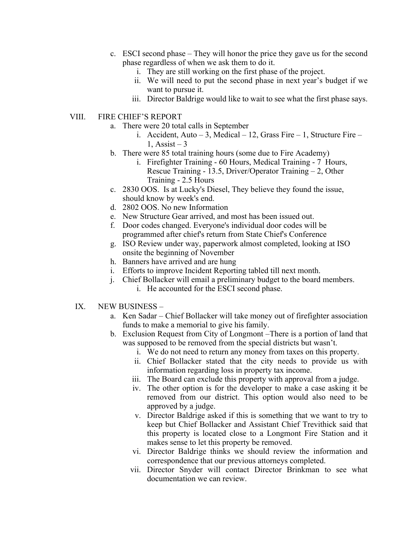- c. ESCI second phase They will honor the price they gave us for the second phase regardless of when we ask them to do it.
	- i. They are still working on the first phase of the project.
	- ii. We will need to put the second phase in next year's budget if we want to pursue it.
	- iii. Director Baldrige would like to wait to see what the first phase says.
- VIII. FIRE CHIEF'S REPORT
	- a. There were 20 total calls in September
		- i. Accident, Auto 3, Medical 12, Grass Fire 1, Structure Fire 1, Assist –  $3$
	- b. There were 85 total training hours (some due to Fire Academy)
		- i. Firefighter Training 60 Hours, Medical Training 7 Hours, Rescue Training - 13.5, Driver/Operator Training – 2, Other Training - 2.5 Hours
	- c. 2830 OOS. Is at Lucky's Diesel, They believe they found the issue, should know by week's end.
	- d. 2802 OOS. No new Information
	- e. New Structure Gear arrived, and most has been issued out.
	- f. Door codes changed. Everyone's individual door codes will be programmed after chief's return from State Chief's Conference
	- g. ISO Review under way, paperwork almost completed, looking at ISO onsite the beginning of November
	- h. Banners have arrived and are hung
	- i. Efforts to improve Incident Reporting tabled till next month.
	- j. Chief Bollacker will email a preliminary budget to the board members. i. He accounted for the ESCI second phase.
	- IX. NEW BUSINESS
		- a. Ken Sadar Chief Bollacker will take money out of firefighter association funds to make a memorial to give his family.
		- b. Exclusion Request from City of Longmont –There is a portion of land that was supposed to be removed from the special districts but wasn't.
			- i. We do not need to return any money from taxes on this property.
			- ii. Chief Bollacker stated that the city needs to provide us with information regarding loss in property tax income.
			- iii. The Board can exclude this property with approval from a judge.
			- iv. The other option is for the developer to make a case asking it be removed from our district. This option would also need to be approved by a judge.
			- v. Director Baldrige asked if this is something that we want to try to keep but Chief Bollacker and Assistant Chief Trevithick said that this property is located close to a Longmont Fire Station and it makes sense to let this property be removed.
			- vi. Director Baldrige thinks we should review the information and correspondence that our previous attorneys completed.
			- vii. Director Snyder will contact Director Brinkman to see what documentation we can review.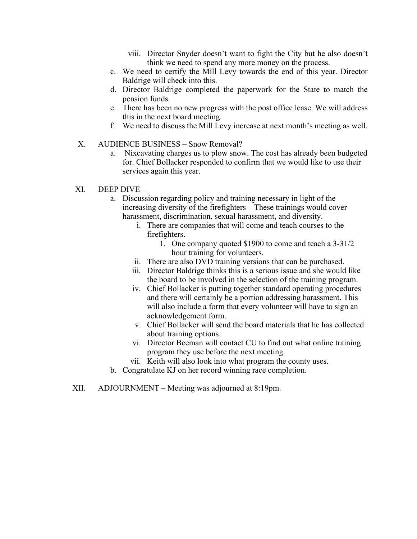- viii. Director Snyder doesn't want to fight the City but he also doesn't think we need to spend any more money on the process.
- c. We need to certify the Mill Levy towards the end of this year. Director Baldrige will check into this.
- d. Director Baldrige completed the paperwork for the State to match the pension funds.
- e. There has been no new progress with the post office lease. We will address this in the next board meeting.
- f. We need to discuss the Mill Levy increase at next month's meeting as well.
- X. AUDIENCE BUSINESS Snow Removal?
	- a. Nixcavating charges us to plow snow. The cost has already been budgeted for. Chief Bollacker responded to confirm that we would like to use their services again this year.
- XI. DEEP DIVE
	- a. Discussion regarding policy and training necessary in light of the increasing diversity of the firefighters – These trainings would cover harassment, discrimination, sexual harassment, and diversity.
		- i. There are companies that will come and teach courses to the firefighters.
			- 1. One company quoted \$1900 to come and teach a 3-31/2 hour training for volunteers.
		- ii. There are also DVD training versions that can be purchased.
		- iii. Director Baldrige thinks this is a serious issue and she would like the board to be involved in the selection of the training program.
		- iv. Chief Bollacker is putting together standard operating procedures and there will certainly be a portion addressing harassment. This will also include a form that every volunteer will have to sign an acknowledgement form.
		- v. Chief Bollacker will send the board materials that he has collected about training options.
		- vi. Director Beeman will contact CU to find out what online training program they use before the next meeting.
		- vii. Keith will also look into what program the county uses.
	- b. Congratulate KJ on her record winning race completion.
- XII. ADJOURNMENT Meeting was adjourned at 8:19pm.